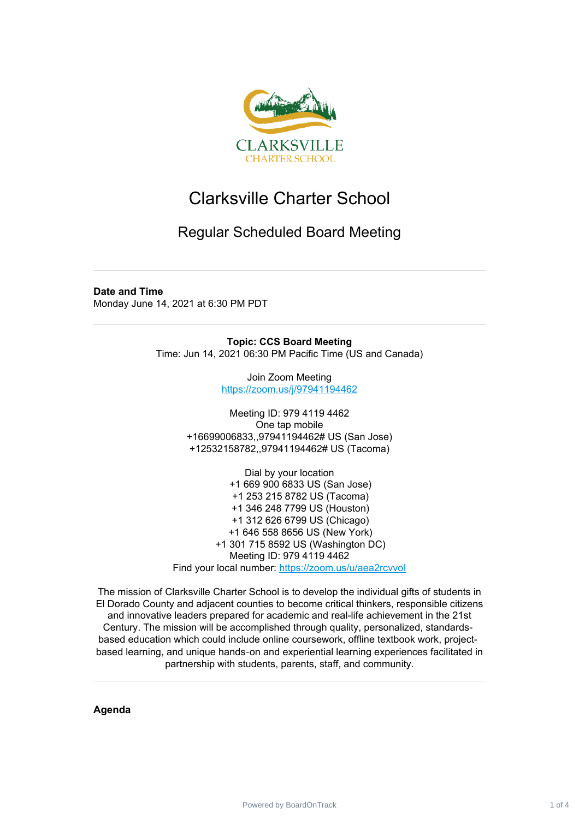

## Clarksville Charter School

## Regular Scheduled Board Meeting

## **Date and Time**

Monday June 14, 2021 at 6:30 PM PDT

**Topic: CCS Board Meeting** Time: Jun 14, 2021 06:30 PM Pacific Time (US and Canada)

> Join Zoom Meeting <https://zoom.us/j/97941194462>

Meeting ID: 979 4119 4462 One tap mobile +16699006833,,97941194462# US (San Jose) +12532158782,,97941194462# US (Tacoma)

Dial by your location +1 669 900 6833 US (San Jose) +1 253 215 8782 US (Tacoma) +1 346 248 7799 US (Houston) +1 312 626 6799 US (Chicago) +1 646 558 8656 US (New York) +1 301 715 8592 US (Washington DC) Meeting ID: 979 4119 4462 Find your local number: https://zoom.us/u/aea2rcvvol

The mission of Clarksville Charter School is to develop the individual gifts of students in El Dorado County and adjacent counties to become critical thinkers, responsible citizens and innovative leaders prepared for academic and real-life achievement in the 21st Century. The mission will be accomplished through quality, personalized, standardsbased education which could include online coursework, offline textbook work, projectbased learning, and unique hands‐on and experiential learning experiences facilitated in partnership with students, parents, staff, and community.

**Agenda**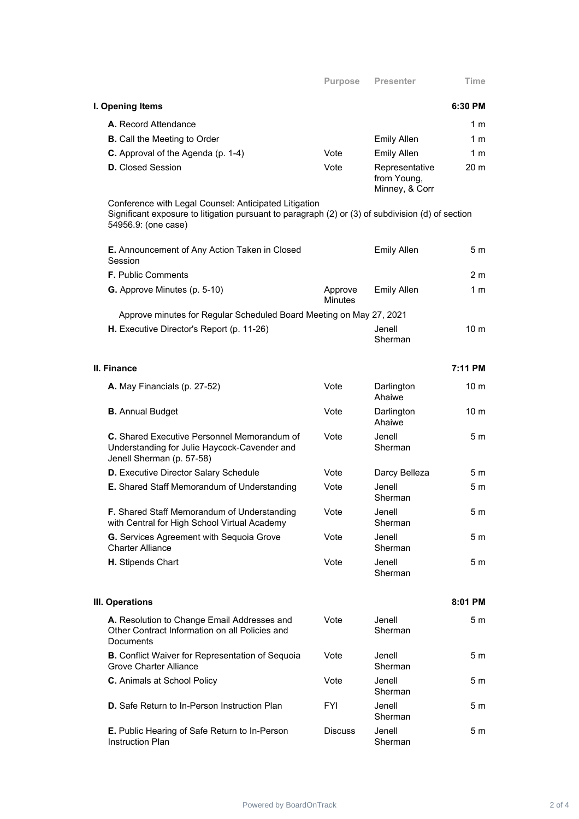|                                                                                                                                                                                   | <b>Purpose</b>            | <b>Presenter</b>                                | Time            |
|-----------------------------------------------------------------------------------------------------------------------------------------------------------------------------------|---------------------------|-------------------------------------------------|-----------------|
| I. Opening Items                                                                                                                                                                  |                           |                                                 | 6:30 PM         |
| A. Record Attendance                                                                                                                                                              |                           |                                                 | 1 m             |
| <b>B.</b> Call the Meeting to Order                                                                                                                                               |                           | <b>Emily Allen</b>                              | 1 <sub>m</sub>  |
| C. Approval of the Agenda (p. 1-4)                                                                                                                                                | Vote                      | <b>Emily Allen</b>                              | 1 <sub>m</sub>  |
| <b>D.</b> Closed Session                                                                                                                                                          | Vote                      | Representative<br>from Young,<br>Minney, & Corr | 20 <sub>m</sub> |
| Conference with Legal Counsel: Anticipated Litigation<br>Significant exposure to litigation pursuant to paragraph (2) or (3) of subdivision (d) of section<br>54956.9: (one case) |                           |                                                 |                 |
| E. Announcement of Any Action Taken in Closed<br>Session                                                                                                                          |                           | <b>Emily Allen</b>                              | 5 m             |
| <b>F.</b> Public Comments                                                                                                                                                         |                           |                                                 | 2 <sub>m</sub>  |
| G. Approve Minutes (p. 5-10)                                                                                                                                                      | Approve<br><b>Minutes</b> | <b>Emily Allen</b>                              | 1 <sub>m</sub>  |
| Approve minutes for Regular Scheduled Board Meeting on May 27, 2021                                                                                                               |                           |                                                 |                 |
| H. Executive Director's Report (p. 11-26)                                                                                                                                         |                           | Jenell<br>Sherman                               | 10 <sub>m</sub> |
| II. Finance                                                                                                                                                                       |                           |                                                 | 7:11 PM         |
| A. May Financials (p. 27-52)                                                                                                                                                      | Vote                      | Darlington<br>Ahaiwe                            | 10 <sub>m</sub> |
| <b>B.</b> Annual Budget                                                                                                                                                           | Vote                      | Darlington<br>Ahaiwe                            | 10 <sub>m</sub> |
| C. Shared Executive Personnel Memorandum of<br>Understanding for Julie Haycock-Cavender and<br>Jenell Sherman (p. 57-58)                                                          | Vote                      | Jenell<br>Sherman                               | 5 <sub>m</sub>  |
| D. Executive Director Salary Schedule                                                                                                                                             | Vote                      | Darcy Belleza                                   | 5m              |
| E. Shared Staff Memorandum of Understanding                                                                                                                                       | Vote                      | Jenell<br>Sherman                               | 5 <sub>m</sub>  |
| F. Shared Staff Memorandum of Understanding<br>with Central for High School Virtual Academy                                                                                       | Vote                      | Jenell<br>Sherman                               | 5 <sub>m</sub>  |
| G. Services Agreement with Sequoia Grove<br><b>Charter Alliance</b>                                                                                                               | Vote                      | Jenell<br>Sherman                               | 5 m             |
| H. Stipends Chart                                                                                                                                                                 | Vote                      | Jenell<br>Sherman                               | 5 m             |
| <b>III. Operations</b>                                                                                                                                                            |                           |                                                 | 8:01 PM         |
| A. Resolution to Change Email Addresses and<br>Other Contract Information on all Policies and<br>Documents                                                                        | Vote                      | Jenell<br>Sherman                               | 5 m             |
| <b>B.</b> Conflict Waiver for Representation of Sequoia<br><b>Grove Charter Alliance</b>                                                                                          | Vote                      | Jenell<br>Sherman                               | 5 <sub>m</sub>  |
| <b>C.</b> Animals at School Policy                                                                                                                                                | Vote                      | Jenell<br>Sherman                               | 5 m             |
| <b>D.</b> Safe Return to In-Person Instruction Plan                                                                                                                               | FYI                       | Jenell<br>Sherman                               | 5 m             |
| E. Public Hearing of Safe Return to In-Person<br><b>Instruction Plan</b>                                                                                                          | <b>Discuss</b>            | Jenell<br>Sherman                               | 5 m             |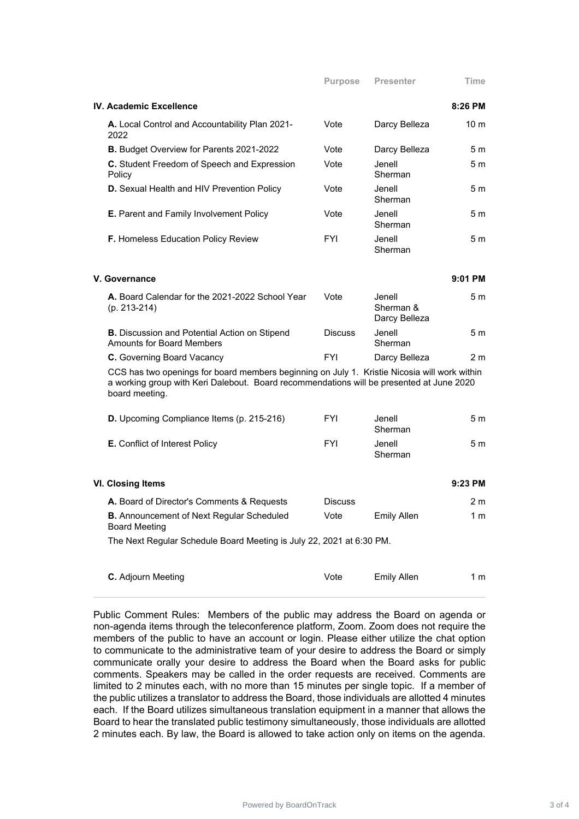| IV. Academic Excellence                                |            |                    | 8:26 PM         |
|--------------------------------------------------------|------------|--------------------|-----------------|
| A. Local Control and Accountability Plan 2021-<br>2022 | Vote       | Darcy Belleza      | 10 <sub>m</sub> |
| <b>B.</b> Budget Overview for Parents 2021-2022        | Vote       | Darcy Belleza      | 5 <sub>m</sub>  |
| C. Student Freedom of Speech and Expression<br>Policy  | Vote       | Jenell.<br>Sherman | 5 <sub>m</sub>  |
| D. Sexual Health and HIV Prevention Policy             | Vote       | Jenell.<br>Sherman | 5m              |
| E. Parent and Family Involvement Policy                | Vote       | Jenell.<br>Sherman | 5 m             |
| <b>F.</b> Homeless Education Policy Review             | <b>FYI</b> | Jenell<br>Sherman  | 5 m             |

| V. Governance                                                                                |                |                                      | $9:01$ PM |
|----------------------------------------------------------------------------------------------|----------------|--------------------------------------|-----------|
| A. Board Calendar for the 2021-2022 School Year<br>$(p. 213 - 214)$                          | Vote           | Jenell<br>Sherman &<br>Darcy Belleza | 5m        |
| <b>B.</b> Discussion and Potential Action on Stipend<br><b>Amounts for Board Members</b>     | <b>Discuss</b> | Jenell<br>Sherman                    | 5 m       |
| <b>C.</b> Governing Board Vacancy                                                            | <b>FYI</b>     | Darcy Belleza                        | 2 m       |
| CCS hop two openings for board members beginning on July 1. Kristie Nicogia will work within |                |                                      |           |

CCS has two openings for board members beginning on July 1. Kristie Nicosia will work within a working group with Keri Dalebout. Board recommendations will be presented at June 2020 board meeting.

| <b>D.</b> Upcoming Compliance Items (p. 215-216) | <b>FYI</b> | Jenell<br>Sherman | 5 m |
|--------------------------------------------------|------------|-------------------|-----|
| <b>E.</b> Conflict of Interest Policy            | <b>FYI</b> | Jenell<br>Sherman | 5 m |

| VI. Closing Items                                                        |                |             | $9:23$ PM |
|--------------------------------------------------------------------------|----------------|-------------|-----------|
| A. Board of Director's Comments & Requests                               | <b>Discuss</b> |             | 2 m       |
| <b>B.</b> Announcement of Next Regular Scheduled<br><b>Board Meeting</b> | Vote           | Emily Allen | 1 m       |

The Next Regular Schedule Board Meeting is July 22, 2021 at 6:30 PM.

| <b>C.</b> Adjourn Meeting | Vote | <b>Emily Allen</b> | 1 m |
|---------------------------|------|--------------------|-----|
|                           |      |                    |     |

Public Comment Rules: Members of the public may address the Board on agenda or non-agenda items through the teleconference platform, Zoom. Zoom does not require the members of the public to have an account or login. Please either utilize the chat option to communicate to the administrative team of your desire to address the Board or simply communicate orally your desire to address the Board when the Board asks for public comments. Speakers may be called in the order requests are received. Comments are limited to 2 minutes each, with no more than 15 minutes per single topic. If a member of the public utilizes a translator to address the Board, those individuals are allotted 4 minutes each. If the Board utilizes simultaneous translation equipment in a manner that allows the Board to hear the translated public testimony simultaneously, those individuals are allotted 2 minutes each. By law, the Board is allowed to take action only on items on the agenda.